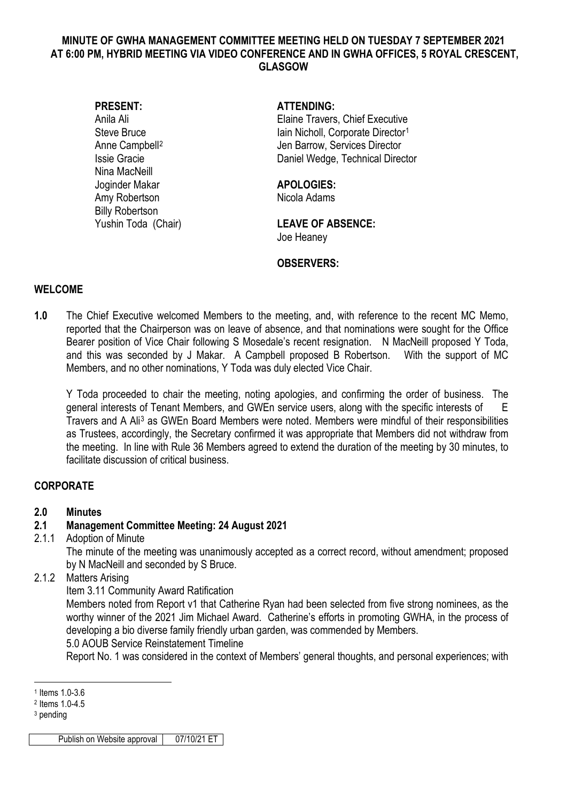#### **MINUTE OF GWHA MANAGEMENT COMMITTEE MEETING HELD ON TUESDAY 7 SEPTEMBER 2021 AT 6:00 PM, HYBRID MEETING VIA VIDEO CONFERENCE AND IN GWHA OFFICES, 5 ROYAL CRESCENT, GLASGOW**

Nina MacNeill Joginder Makar **APOLOGIES:** Amy Robertson Nicola Adams Billy Robertson

#### **PRESENT: ATTENDING:**

Anila Ali **Anila Ali** Elaine Travers, Chief Executive Steve Bruce **Internal Community** Iain Nicholl, Corporate Director<sup>[1](#page-0-0)</sup> Anne Campbell<sup>[2](#page-0-1)</sup> Jen Barrow, Services Director Issie Gracie Daniel Wedge, Technical Director

#### Yushin Toda (Chair) **LEAVE OF ABSENCE:**  Joe Heaney

## **OBSERVERS:**

## **WELCOME**

**1.0** The Chief Executive welcomed Members to the meeting, and, with reference to the recent MC Memo, reported that the Chairperson was on leave of absence, and that nominations were sought for the Office Bearer position of Vice Chair following S Mosedale's recent resignation. N MacNeill proposed Y Toda, and this was seconded by J Makar. A Campbell proposed B Robertson. With the support of MC Members, and no other nominations, Y Toda was duly elected Vice Chair.

Y Toda proceeded to chair the meeting, noting apologies, and confirming the order of business. The general interests of Tenant Members, and GWEn service users, along with the specific interests of E Travers and A Ali[3](#page-0-2) as GWEn Board Members were noted. Members were mindful of their responsibilities as Trustees, accordingly, the Secretary confirmed it was appropriate that Members did not withdraw from the meeting. In line with Rule 36 Members agreed to extend the duration of the meeting by 30 minutes, to facilitate discussion of critical business.

# **CORPORATE**

# **2.0 Minutes**

# **2.1 Management Committee Meeting: 24 August 2021**

2.1.1 Adoption of Minute

The minute of the meeting was unanimously accepted as a correct record, without amendment; proposed by N MacNeill and seconded by S Bruce.

## 2.1.2 Matters Arising

Item 3.11 Community Award Ratification

Members noted from Report v1 that Catherine Ryan had been selected from five strong nominees, as the worthy winner of the 2021 Jim Michael Award. Catherine's efforts in promoting GWHA, in the process of developing a bio diverse family friendly urban garden, was commended by Members. 5.0 AOUB Service Reinstatement Timeline

Report No. 1 was considered in the context of Members' general thoughts, and personal experiences; with

<sup>-</sup><sup>1</sup> Items 1.0-3.6

<span id="page-0-1"></span><span id="page-0-0"></span><sup>2</sup> Items 1.0-4.5

<span id="page-0-2"></span><sup>3</sup> pending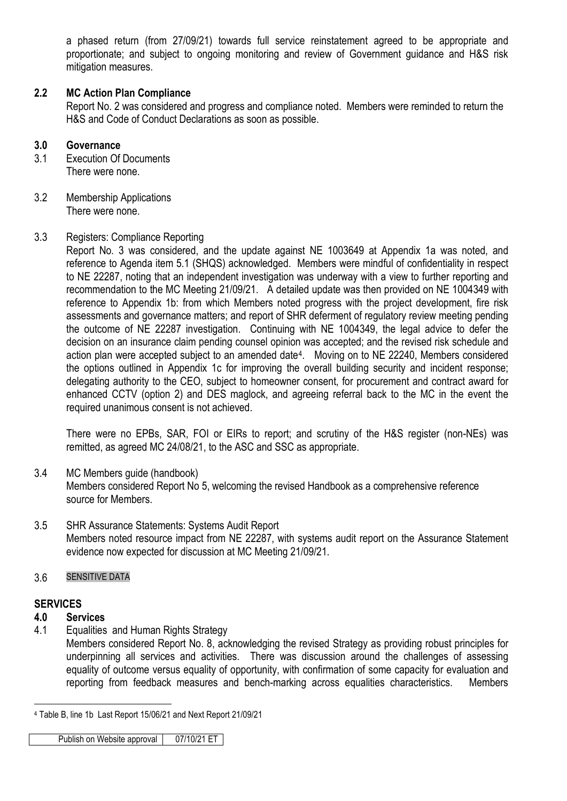a phased return (from 27/09/21) towards full service reinstatement agreed to be appropriate and proportionate; and subject to ongoing monitoring and review of Government guidance and H&S risk mitigation measures.

## **2.2 MC Action Plan Compliance**

Report No. 2 was considered and progress and compliance noted. Members were reminded to return the H&S and Code of Conduct Declarations as soon as possible.

#### **3.0 Governance**

- 3.1 Execution Of Documents There were none.
- 3.2 Membership Applications There were none.

#### 3.3 Registers: Compliance Reporting

Report No. 3 was considered, and the update against NE 1003649 at Appendix 1a was noted, and reference to Agenda item 5.1 (SHQS) acknowledged. Members were mindful of confidentiality in respect to NE 22287, noting that an independent investigation was underway with a view to further reporting and recommendation to the MC Meeting 21/09/21. A detailed update was then provided on NE 1004349 with reference to Appendix 1b: from which Members noted progress with the project development, fire risk assessments and governance matters; and report of SHR deferment of regulatory review meeting pending the outcome of NE 22287 investigation. Continuing with NE 1004349, the legal advice to defer the decision on an insurance claim pending counsel opinion was accepted; and the revised risk schedule and action plan were accepted subject to an amended date[4](#page-1-0). Moving on to NE 22240, Members considered the options outlined in Appendix 1c for improving the overall building security and incident response; delegating authority to the CEO, subject to homeowner consent, for procurement and contract award for enhanced CCTV (option 2) and DES maglock, and agreeing referral back to the MC in the event the required unanimous consent is not achieved.

There were no EPBs, SAR, FOI or EIRs to report; and scrutiny of the H&S register (non-NEs) was remitted, as agreed MC 24/08/21, to the ASC and SSC as appropriate.

## 3.4 MC Members guide (handbook)

Members considered Report No 5, welcoming the revised Handbook as a comprehensive reference source for Members.

3.5 SHR Assurance Statements: Systems Audit Report Members noted resource impact from NE 22287, with systems audit report on the Assurance Statement evidence now expected for discussion at MC Meeting 21/09/21.

#### 3.6 SENSITIVE DATA

## **SERVICES**

#### **4.0 Services**

4.1 Equalities and Human Rights Strategy

Members considered Report No. 8, acknowledging the revised Strategy as providing robust principles for underpinning all services and activities. There was discussion around the challenges of assessing equality of outcome versus equality of opportunity, with confirmation of some capacity for evaluation and reporting from feedback measures and bench-marking across equalities characteristics. Members

Publish on Website approval | 07/10/21 ET

<span id="page-1-0"></span><sup>&</sup>lt;u>.</u> <sup>4</sup> Table B, line 1b Last Report 15/06/21 and Next Report 21/09/21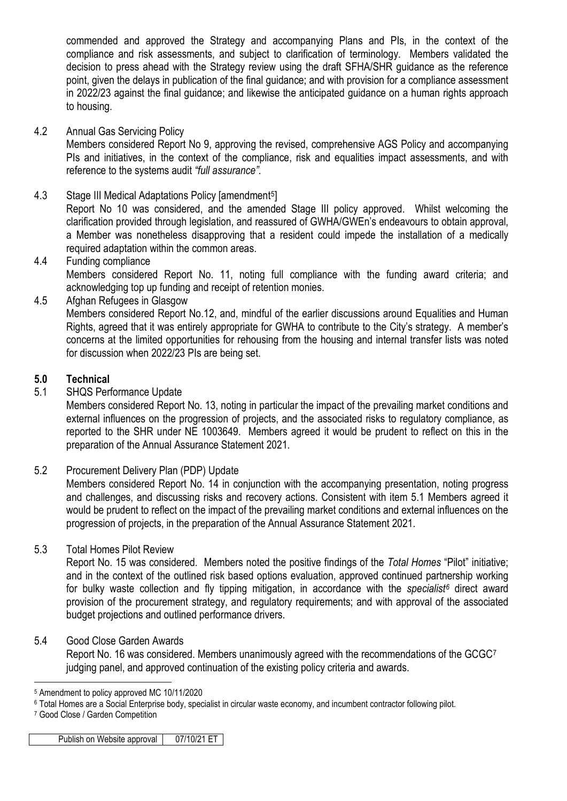commended and approved the Strategy and accompanying Plans and PIs, in the context of the compliance and risk assessments, and subject to clarification of terminology. Members validated the decision to press ahead with the Strategy review using the draft SFHA/SHR guidance as the reference point, given the delays in publication of the final guidance; and with provision for a compliance assessment in 2022/23 against the final guidance; and likewise the anticipated guidance on a human rights approach to housing.

4.2 Annual Gas Servicing Policy

Members considered Report No 9, approving the revised, comprehensive AGS Policy and accompanying PIs and initiatives, in the context of the compliance, risk and equalities impact assessments, and with reference to the systems audit *"full assurance".*

4.3 Stage III Medical Adaptations Policy [amendment[5](#page-2-0)]

Report No 10 was considered, and the amended Stage III policy approved. Whilst welcoming the clarification provided through legislation, and reassured of GWHA/GWEn's endeavours to obtain approval, a Member was nonetheless disapproving that a resident could impede the installation of a medically required adaptation within the common areas.

4.4 Funding compliance

Members considered Report No. 11, noting full compliance with the funding award criteria; and acknowledging top up funding and receipt of retention monies.

4.5 Afghan Refugees in Glasgow

Members considered Report No.12, and, mindful of the earlier discussions around Equalities and Human Rights, agreed that it was entirely appropriate for GWHA to contribute to the City's strategy. A member's concerns at the limited opportunities for rehousing from the housing and internal transfer lists was noted for discussion when 2022/23 PIs are being set.

# **5.0 Technical**

5.1 SHQS Performance Update

Members considered Report No. 13, noting in particular the impact of the prevailing market conditions and external influences on the progression of projects, and the associated risks to regulatory compliance, as reported to the SHR under NE 1003649. Members agreed it would be prudent to reflect on this in the preparation of the Annual Assurance Statement 2021.

5.2 Procurement Delivery Plan (PDP) Update

Members considered Report No. 14 in conjunction with the accompanying presentation, noting progress and challenges, and discussing risks and recovery actions. Consistent with item 5.1 Members agreed it would be prudent to reflect on the impact of the prevailing market conditions and external influences on the progression of projects, in the preparation of the Annual Assurance Statement 2021.

5.3 Total Homes Pilot Review

Report No. 15 was considered. Members noted the positive findings of the *Total Homes* "Pilot" initiative; and in the context of the outlined risk based options evaluation, approved continued partnership working for bulky waste collection and fly tipping mitigation, in accordance with the *specialist[6](#page-2-1)* direct award provision of the procurement strategy, and regulatory requirements; and with approval of the associated budget projections and outlined performance drivers.

## 5.4 Good Close Garden Awards

Report No. 16 was considered. Members unanimously agreed with the recommendations of the GCGC<sup>[7](#page-2-2)</sup> judging panel, and approved continuation of the existing policy criteria and awards.

<sup>-</sup><sup>5</sup> Amendment to policy approved MC 10/11/2020

<span id="page-2-1"></span><span id="page-2-0"></span><sup>6</sup> Total Homes are a Social Enterprise body, specialist in circular waste economy, and incumbent contractor following pilot.

<span id="page-2-2"></span><sup>7</sup> Good Close / Garden Competition